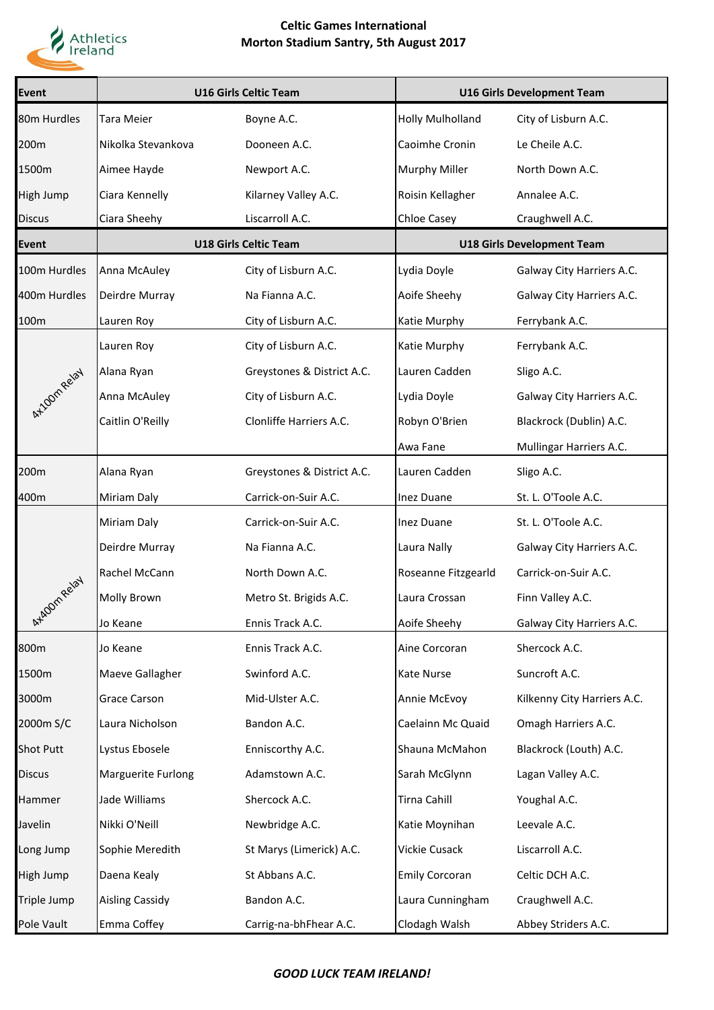

## **Celtic Games International Morton Stadium Santry, 5th August 2017**

| <b>Event</b>     | <b>U16 Girls Celtic Team</b> |                            | <b>U16 Girls Development Team</b> |                             |
|------------------|------------------------------|----------------------------|-----------------------------------|-----------------------------|
| 80m Hurdles      | <b>Tara Meier</b>            | Boyne A.C.                 | <b>Holly Mulholland</b>           | City of Lisburn A.C.        |
| 200m             | Nikolka Stevankova           | Dooneen A.C.               | Caoimhe Cronin                    | Le Cheile A.C.              |
| 1500m            | Aimee Hayde                  | Newport A.C.               | <b>Murphy Miller</b>              | North Down A.C.             |
| <b>High Jump</b> | Ciara Kennelly               | Kilarney Valley A.C.       | Roisin Kellagher                  | Annalee A.C.                |
| <b>Discus</b>    | Ciara Sheehy                 | Liscarroll A.C.            | Chloe Casey                       | Craughwell A.C.             |
| <b>Event</b>     | <b>U18 Girls Celtic Team</b> |                            | <b>U18 Girls Development Team</b> |                             |
| 100m Hurdles     | Anna McAuley                 | City of Lisburn A.C.       | Lydia Doyle                       | Galway City Harriers A.C.   |
| 400m Hurdles     | Deirdre Murray               | Na Fianna A.C.             | Aoife Sheehy                      | Galway City Harriers A.C.   |
| 100m             | Lauren Roy                   | City of Lisburn A.C.       | Katie Murphy                      | Ferrybank A.C.              |
|                  | Lauren Roy                   | City of Lisburn A.C.       | Katie Murphy                      | Ferrybank A.C.              |
|                  | Alana Ryan                   | Greystones & District A.C. | Lauren Cadden                     | Sligo A.C.                  |
| AX10m Relay      | Anna McAuley                 | City of Lisburn A.C.       | Lydia Doyle                       | Galway City Harriers A.C.   |
|                  | Caitlin O'Reilly             | Clonliffe Harriers A.C.    | Robyn O'Brien                     | Blackrock (Dublin) A.C.     |
|                  |                              |                            | Awa Fane                          | Mullingar Harriers A.C.     |
| 200m             | Alana Ryan                   | Greystones & District A.C. | Lauren Cadden                     | Sligo A.C.                  |
| 400m             | Miriam Daly                  | Carrick-on-Suir A.C.       | Inez Duane                        | St. L. O'Toole A.C.         |
|                  | Miriam Daly                  | Carrick-on-Suir A.C.       | <b>Inez Duane</b>                 | St. L. O'Toole A.C.         |
|                  | Deirdre Murray               | Na Fianna A.C.             | Laura Nally                       | Galway City Harriers A.C.   |
|                  | Rachel McCann                | North Down A.C.            | Roseanne Fitzgearld               | Carrick-on-Suir A.C.        |
| Arkgom Relay     | Molly Brown                  | Metro St. Brigids A.C.     | Laura Crossan                     | Finn Valley A.C.            |
|                  | Jo Keane                     | Ennis Track A.C.           | Aoife Sheehy                      | Galway City Harriers A.C.   |
| 800m             | Jo Keane                     | Ennis Track A.C.           | Aine Corcoran                     | Shercock A.C.               |
| 1500m            | Maeve Gallagher              | Swinford A.C.              | <b>Kate Nurse</b>                 | Suncroft A.C.               |
| 3000m            | <b>Grace Carson</b>          | Mid-Ulster A.C.            | Annie McEvoy                      | Kilkenny City Harriers A.C. |
| 2000m S/C        | Laura Nicholson              | Bandon A.C.                | Caelainn Mc Quaid                 | Omagh Harriers A.C.         |
| <b>Shot Putt</b> | Lystus Ebosele               | Enniscorthy A.C.           | Shauna McMahon                    | Blackrock (Louth) A.C.      |
| <b>Discus</b>    | Marguerite Furlong           | Adamstown A.C.             | Sarah McGlynn                     | Lagan Valley A.C.           |
| Hammer           | Jade Williams                | Shercock A.C.              | Tirna Cahill                      | Youghal A.C.                |
| Javelin          | Nikki O'Neill                | Newbridge A.C.             | Katie Moynihan                    | Leevale A.C.                |
| Long Jump        | Sophie Meredith              | St Marys (Limerick) A.C.   | Vickie Cusack                     | Liscarroll A.C.             |
| High Jump        | Daena Kealy                  | St Abbans A.C.             | <b>Emily Corcoran</b>             | Celtic DCH A.C.             |
| Triple Jump      | <b>Aisling Cassidy</b>       | Bandon A.C.                | Laura Cunningham                  | Craughwell A.C.             |
| Pole Vault       | Emma Coffey                  | Carrig-na-bhFhear A.C.     | Clodagh Walsh                     | Abbey Striders A.C.         |